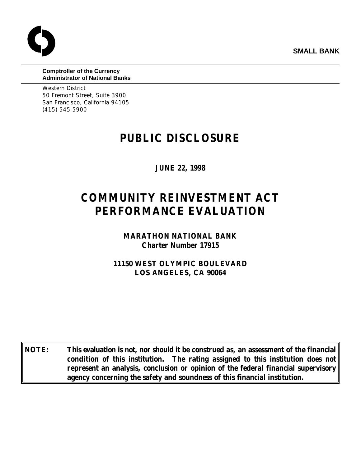**SMALL BANK**



#### **Comptroller of the Currency Administrator of National Banks**

Western District 50 Fremont Street, Suite 3900 San Francisco, California 94105 (415) 545-5900

# **PUBLIC DISCLOSURE**

**JUNE 22, 1998**

# **COMMUNITY REINVESTMENT ACT PERFORMANCE EVALUATION**

**MARATHON NATIONAL BANK Charter Number 17915**

**11150 WEST OLYMPIC BOULEVARD LOS ANGELES, CA 90064**

**NOTE: This evaluation is not, nor should it be construed as, an assessment of the financial condition of this institution. The rating assigned to this institution does not represent an analysis, conclusion or opinion of the federal financial supervisory agency concerning the safety and soundness of this financial institution.**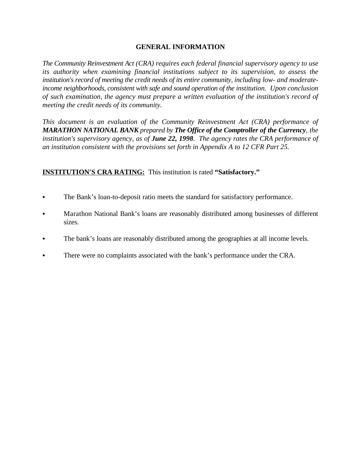# **GENERAL INFORMATION**

*The Community Reinvestment Act (CRA) requires each federal financial supervisory agency to use its authority when examining financial institutions subject to its supervision, to assess the institution's record of meeting the credit needs of its entire community, including low- and moderateincome neighborhoods, consistent with safe and sound operation of the institution. Upon conclusion of such examination, the agency must prepare a written evaluation of the institution's record of meeting the credit needs of its community.* 

*This document is an evaluation of the Community Reinvestment Act (CRA) performance of MARATHON NATIONAL BANK prepared by The Office of the Comptroller of the Currency, the institution's supervisory agency, as of June 22, 1998. The agency rates the CRA performance of an institution consistent with the provisions set forth in Appendix A to 12 CFR Part 25.*

# **INSTITUTION'S CRA RATING:** This institution is rated **"Satisfactory."**

- The Bank's loan-to-deposit ratio meets the standard for satisfactory performance.
- Marathon National Bank's loans are reasonably distributed among businesses of different sizes.
- The bank's loans are reasonably distributed among the geographies at all income levels.
- There were no complaints associated with the bank's performance under the CRA.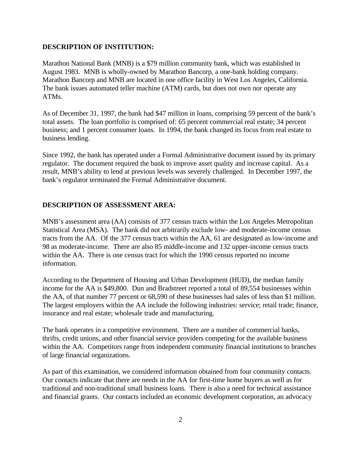#### **DESCRIPTION OF INSTITUTION:**

Marathon National Bank (MNB) is a \$79 million community bank, which was established in August 1983. MNB is wholly-owned by Marathon Bancorp, a one-bank holding company. Marathon Bancorp and MNB are located in one office facility in West Los Angeles, California. The bank issues automated teller machine (ATM) cards, but does not own nor operate any ATMs.

As of December 31, 1997, the bank had \$47 million in loans, comprising 59 percent of the bank's total assets. The loan portfolio is comprised of: 65 percent commercial real estate; 34 percent business; and 1 percent consumer loans. In 1994, the bank changed its focus from real estate to business lending.

Since 1992, the bank has operated under a Formal Administrative document issued by its primary regulator. The document required the bank to improve asset quality and increase capital. As a result, MNB's ability to lend at previous levels was severely challenged. In December 1997, the bank's regulator terminated the Formal Administrative document.

#### **DESCRIPTION OF ASSESSMENT AREA:**

MNB's assessment area (AA) consists of 377 census tracts within the Los Angeles Metropolitan Statistical Area (MSA). The bank did not arbitrarily exclude low- and moderate-income census tracts from the AA. Of the 377 census tracts within the AA, 61 are designated as low-income and 98 as moderate-income. There are also 85 middle-income and 132 upper-income census tracts within the AA. There is one census tract for which the 1990 census reported no income information.

According to the Department of Housing and Urban Development (HUD), the median family income for the AA is \$49,800. Dun and Bradstreet reported a total of 89,554 businesses within the AA, of that number 77 percent or 68,590 of these businesses had sales of less than \$1 million. The largest employers within the AA include the following industries: service; retail trade; finance, insurance and real estate; wholesale trade and manufacturing.

The bank operates in a competitive environment. There are a number of commercial banks, thrifts, credit unions, and other financial service providers competing for the available business within the AA. Competitors range from independent community financial institutions to branches of large financial organizations.

As part of this examination, we considered information obtained from four community contacts. Our contacts indicate that there are needs in the AA for first-time home buyers as well as for traditional and non-traditional small business loans. There is also a need for technical assistance and financial grants. Our contacts included an economic development corporation, an advocacy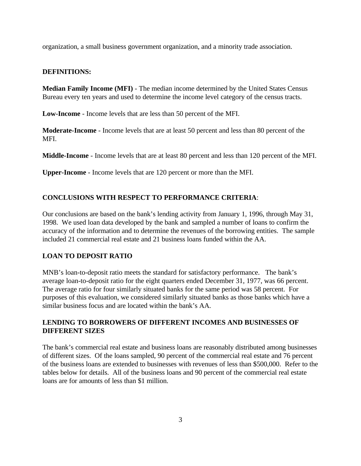organization, a small business government organization, and a minority trade association.

#### **DEFINITIONS:**

**Median Family Income (MFI)** - The median income determined by the United States Census Bureau every ten years and used to determine the income level category of the census tracts.

**Low-Income** - Income levels that are less than 50 percent of the MFI.

**Moderate-Income** - Income levels that are at least 50 percent and less than 80 percent of the MFI.

**Middle-Income** - Income levels that are at least 80 percent and less than 120 percent of the MFI.

**Upper-Income** - Income levels that are 120 percent or more than the MFI.

#### **CONCLUSIONS WITH RESPECT TO PERFORMANCE CRITERIA**:

Our conclusions are based on the bank's lending activity from January 1, 1996, through May 31, 1998. We used loan data developed by the bank and sampled a number of loans to confirm the accuracy of the information and to determine the revenues of the borrowing entities. The sample included 21 commercial real estate and 21 business loans funded within the AA.

#### **LOAN TO DEPOSIT RATIO**

MNB's loan-to-deposit ratio meets the standard for satisfactory performance. The bank's average loan-to-deposit ratio for the eight quarters ended December 31, 1977, was 66 percent. The average ratio for four similarly situated banks for the same period was 58 percent. For purposes of this evaluation, we considered similarly situated banks as those banks which have a similar business focus and are located within the bank's AA.

#### **LENDING TO BORROWERS OF DIFFERENT INCOMES AND BUSINESSES OF DIFFERENT SIZES**

The bank's commercial real estate and business loans are reasonably distributed among businesses of different sizes. Of the loans sampled, 90 percent of the commercial real estate and 76 percent of the business loans are extended to businesses with revenues of less than \$500,000. Refer to the tables below for details. All of the business loans and 90 percent of the commercial real estate loans are for amounts of less than \$1 million.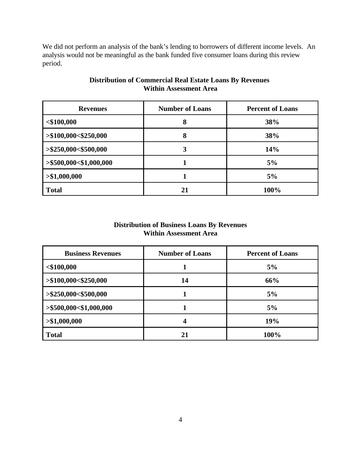We did not perform an analysis of the bank's lending to borrowers of different income levels. An analysis would not be meaningful as the bank funded five consumer loans during this review period.

| <b>Revenues</b>           | <b>Number of Loans</b> | <b>Percent of Loans</b> |
|---------------------------|------------------------|-------------------------|
| $<$ \$100,000             | 8                      | 38%                     |
| > \$100,000< \$250,000    | 8                      | 38%                     |
| $>\$250,000<\$500,000$    | 3                      | 14%                     |
| $>$ \$500,000<\$1,000,000 |                        | 5%                      |
| > \$1,000,000             |                        | 5%                      |
| <b>Total</b>              | 21                     | 100%                    |

# **Distribution of Commercial Real Estate Loans By Revenues Within Assessment Area**

# **Distribution of Business Loans By Revenues Within Assessment Area**

| <b>Business Revenues</b> | <b>Number of Loans</b> | <b>Percent of Loans</b> |
|--------------------------|------------------------|-------------------------|
| $<$ \$100,000            |                        | 5%                      |
| > \$100,000< \$250,000   | 14                     | 66%                     |
| > \$250,000< \$500,000   |                        | 5%                      |
| > \$500,000< \$1,000,000 |                        | 5%                      |
| > \$1,000,000            | 4                      | 19%                     |
| <b>Total</b>             | 21                     | 100%                    |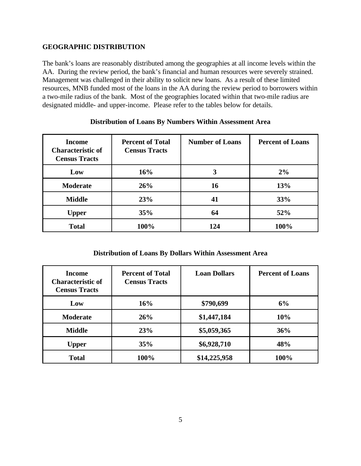#### **GEOGRAPHIC DISTRIBUTION**

The bank's loans are reasonably distributed among the geographies at all income levels within the AA. During the review period, the bank's financial and human resources were severely strained. Management was challenged in their ability to solicit new loans. As a result of these limited resources, MNB funded most of the loans in the AA during the review period to borrowers within a two-mile radius of the bank. Most of the geographies located within that two-mile radius are designated middle- and upper-income. Please refer to the tables below for details.

| Income<br><b>Characteristic of</b><br><b>Census Tracts</b> | <b>Percent of Total</b><br><b>Census Tracts</b> | <b>Number of Loans</b> | <b>Percent of Loans</b> |
|------------------------------------------------------------|-------------------------------------------------|------------------------|-------------------------|
| Low                                                        | 16%                                             | 3                      | 2%                      |
| <b>Moderate</b>                                            | 26%                                             | 16                     | 13%                     |
| <b>Middle</b>                                              | 23%                                             | 41                     | 33%                     |
| <b>Upper</b>                                               | 35%                                             | 64                     | 52%                     |
| <b>Total</b>                                               | 100%                                            | 124                    | 100%                    |

#### **Distribution of Loans By Numbers Within Assessment Area**

#### **Distribution of Loans By Dollars Within Assessment Area**

| Income<br><b>Characteristic of</b><br><b>Census Tracts</b> | <b>Percent of Total</b><br><b>Census Tracts</b> | <b>Loan Dollars</b> | <b>Percent of Loans</b> |
|------------------------------------------------------------|-------------------------------------------------|---------------------|-------------------------|
| Low                                                        | 16%                                             | \$790,699           | 6%                      |
| <b>Moderate</b>                                            | 26%                                             | \$1,447,184         | 10%                     |
| <b>Middle</b>                                              | 23%                                             | \$5,059,365         | 36%                     |
| <b>Upper</b>                                               | 35%                                             | \$6,928,710         | 48%                     |
| <b>Total</b>                                               | 100%                                            | \$14,225,958        | 100%                    |